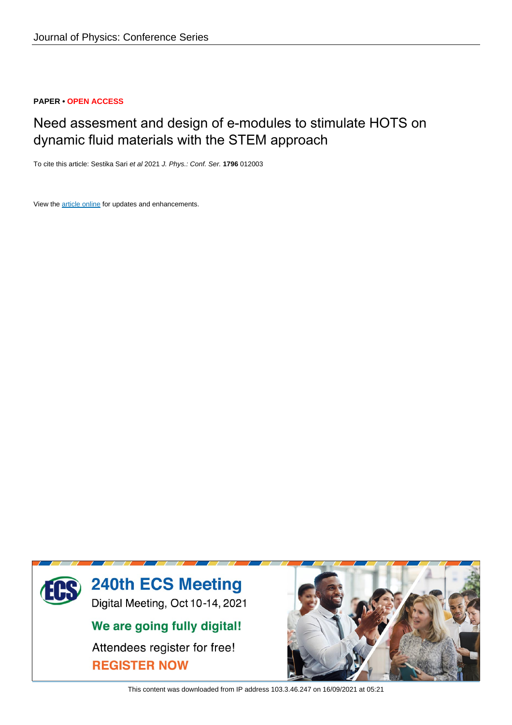## **PAPER • OPEN ACCESS**

# Need assesment and design of e-modules to stimulate HOTS on dynamic fluid materials with the STEM approach

To cite this article: Sestika Sari et al 2021 J. Phys.: Conf. Ser. **1796** 012003

View the [article online](https://doi.org/10.1088/1742-6596/1796/1/012003) for updates and enhancements.



This content was downloaded from IP address 103.3.46.247 on 16/09/2021 at 05:21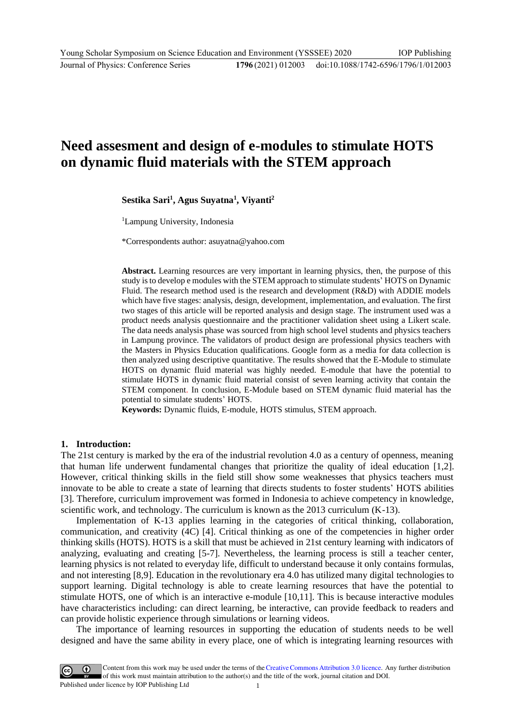## **Need assesment and design of e-modules to stimulate HOTS on dynamic fluid materials with the STEM approach**

### **Sestika Sari<sup>1</sup> , Agus Suyatna<sup>1</sup> , Viyanti<sup>2</sup>**

<sup>1</sup>Lampung University, Indonesia

\*Correspondents author: asuyatna@yahoo.com

**Abstract.** Learning resources are very important in learning physics, then, the purpose of this study is to develop e modules with the STEM approach to stimulate students' HOTS on Dynamic Fluid. The research method used is the research and development (R&D) with ADDIE models which have five stages: analysis, design, development, implementation, and evaluation. The first two stages of this article will be reported analysis and design stage. The instrument used was a product needs analysis questionnaire and the practitioner validation sheet using a Likert scale. The data needs analysis phase was sourced from high school level students and physics teachers in Lampung province. The validators of product design are professional physics teachers with the Masters in Physics Education qualifications. Google form as a media for data collection is then analyzed using descriptive quantitative. The results showed that the E-Module to stimulate HOTS on dynamic fluid material was highly needed. E-module that have the potential to stimulate HOTS in dynamic fluid material consist of seven learning activity that contain the STEM component. In conclusion, E-Module based on STEM dynamic fluid material has the potential to simulate students' HOTS.

**Keywords:** Dynamic fluids, E-module, HOTS stimulus, STEM approach.

#### **1. Introduction:**

The 21st century is marked by the era of the industrial revolution 4.0 as a century of openness, meaning that human life underwent fundamental changes that prioritize the quality of ideal education [1,2]. However, critical thinking skills in the field still show some weaknesses that physics teachers must innovate to be able to create a state of learning that directs students to foster students' HOTS abilities [3]. Therefore, curriculum improvement was formed in Indonesia to achieve competency in knowledge, scientific work, and technology. The curriculum is known as the 2013 curriculum (K-13).

Implementation of K-13 applies learning in the categories of critical thinking, collaboration, communication, and creativity (4C) [4]. Critical thinking as one of the competencies in higher order thinking skills (HOTS). HOTS is a skill that must be achieved in 21st century learning with indicators of analyzing, evaluating and creating [5-7]. Nevertheless, the learning process is still a teacher center, learning physics is not related to everyday life, difficult to understand because it only contains formulas, and not interesting [8,9]. Education in the revolutionary era 4.0 has utilized many digital technologies to support learning. Digital technology is able to create learning resources that have the potential to stimulate HOTS, one of which is an interactive e-module [10,11]. This is because interactive modules have characteristics including: can direct learning, be interactive, can provide feedback to readers and can provide holistic experience through simulations or learning videos.

The importance of learning resources in supporting the education of students needs to be well designed and have the same ability in every place, one of which is integrating learning resources with

Content from this work may be used under the terms of the Creative Commons Attribution 3.0 licence. Any further distribution of this work must maintain attribution to the author(s) and the title of the work, journal citation and DOI. Published under licence by IOP Publishing Ltd 1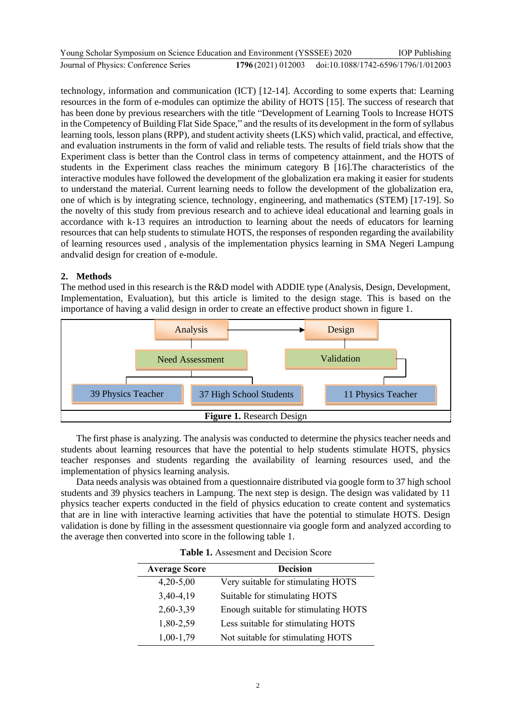| Young Scholar Symposium on Science Education and Environment (YSSSEE) 2020 |                                                       | <b>IOP</b> Publishing |
|----------------------------------------------------------------------------|-------------------------------------------------------|-----------------------|
| Journal of Physics: Conference Series                                      | 1796(2021) 012003 doi:10.1088/1742-6596/1796/1/012003 |                       |

technology, information and communication (ICT) [12-14]. According to some experts that: Learning resources in the form of e-modules can optimize the ability of HOTS [15]. The success of research that has been done by previous researchers with the title "Development of Learning Tools to Increase HOTS in the Competency of Building Flat Side Space," and the results of its development in the form of syllabus learning tools, lesson plans (RPP), and student activity sheets (LKS) which valid, practical, and effective, and evaluation instruments in the form of valid and reliable tests. The results of field trials show that the Experiment class is better than the Control class in terms of competency attainment, and the HOTS of students in the Experiment class reaches the minimum category B [16].The characteristics of the interactive modules have followed the development of the globalization era making it easier for students to understand the material. Current learning needs to follow the development of the globalization era, one of which is by integrating science, technology, engineering, and mathematics (STEM) [17-19]. So the novelty of this study from previous research and to achieve ideal educational and learning goals in accordance with k-13 requires an introduction to learning about the needs of educators for learning resources that can help students to stimulate HOTS, the responses of responden regarding the availability of learning resources used , analysis of the implementation physics learning in SMA Negeri Lampung andvalid design for creation of e-module.

## **2. Methods**

The method used in this research is the R&D model with ADDIE type (Analysis, Design, Development, Implementation, Evaluation), but this article is limited to the design stage. This is based on the importance of having a valid design in order to create an effective product shown in figure 1.



The first phase is analyzing. The analysis was conducted to determine the physics teacher needs and students about learning resources that have the potential to help students stimulate HOTS, physics teacher responses and students regarding the availability of learning resources used, and the implementation of physics learning analysis.

Data needs analysis was obtained from a questionnaire distributed via google form to 37 high school students and 39 physics teachers in Lampung. The next step is design. The design was validated by 11 physics teacher experts conducted in the field of physics education to create content and systematics that are in line with interactive learning activities that have the potential to stimulate HOTS. Design validation is done by filling in the assessment questionnaire via google form and analyzed according to the average then converted into score in the following table 1.

| <b>Average Score</b> | <b>Decision</b>                      |
|----------------------|--------------------------------------|
| $4,20-5,00$          | Very suitable for stimulating HOTS   |
| 3,40-4,19            | Suitable for stimulating HOTS        |
| 2,60-3,39            | Enough suitable for stimulating HOTS |
| 1,80-2,59            | Less suitable for stimulating HOTS   |
| $1,00-1,79$          | Not suitable for stimulating HOTS    |

**Table 1.** Assesment and Decision Score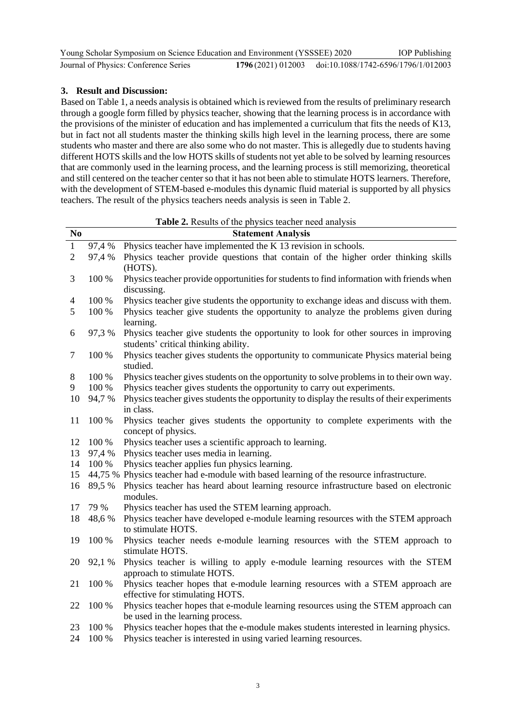| Young Scholar Symposium on Science Education and Environment (YSSSEE) 2020 |                                                        | <b>IOP</b> Publishing |
|----------------------------------------------------------------------------|--------------------------------------------------------|-----------------------|
| Journal of Physics: Conference Series                                      | 1796 (2021) 012003 doi:10.1088/1742-6596/1796/1/012003 |                       |

## **3. Result and Discussion:**

j.  $\overline{a}$ 

Based on Table 1, a needs analysis is obtained which is reviewed from the results of preliminary research through a google form filled by physics teacher, showing that the learning process is in accordance with the provisions of the minister of education and has implemented a curriculum that fits the needs of K13, but in fact not all students master the thinking skills high level in the learning process, there are some students who master and there are also some who do not master. This is allegedly due to students having different HOTS skills and the low HOTS skills of students not yet able to be solved by learning resources that are commonly used in the learning process, and the learning process is still memorizing, theoretical and still centered on the teacher center so that it has not been able to stimulate HOTS learners. Therefore, with the development of STEM-based e-modules this dynamic fluid material is supported by all physics teachers. The result of the physics teachers needs analysis is seen in Table 2.

| $\bf No$       |           | <b>Statement Analysis</b>                                                                                                    |
|----------------|-----------|------------------------------------------------------------------------------------------------------------------------------|
| $\mathbf{1}$   | 97,4 %    | Physics teacher have implemented the K 13 revision in schools.                                                               |
| $\overline{2}$ | 97,4 %    | Physics teacher provide questions that contain of the higher order thinking skills<br>(HOTS).                                |
| 3              | 100 %     | Physics teacher provide opportunities for students to find information with friends when<br>discussing.                      |
| $\overline{4}$ | 100 %     | Physics teacher give students the opportunity to exchange ideas and discuss with them.                                       |
| 5              | 100 %     | Physics teacher give students the opportunity to analyze the problems given during<br>learning.                              |
| 6              | 97,3 %    | Physics teacher give students the opportunity to look for other sources in improving<br>students' critical thinking ability. |
| $\tau$         | 100 %     | Physics teacher gives students the opportunity to communicate Physics material being<br>studied.                             |
| $8\phantom{1}$ | 100 %     | Physics teacher gives students on the opportunity to solve problems in to their own way.                                     |
| 9              | 100 %     | Physics teacher gives students the opportunity to carry out experiments.                                                     |
| 10             | 94,7 %    | Physics teacher gives students the opportunity to display the results of their experiments<br>in class.                      |
| 11             | 100 %     | Physics teacher gives students the opportunity to complete experiments with the<br>concept of physics.                       |
| 12             | 100 %     | Physics teacher uses a scientific approach to learning.                                                                      |
| 13             | 97,4 %    | Physics teacher uses media in learning.                                                                                      |
| 14             | 100 %     | Physics teacher applies fun physics learning.                                                                                |
| 15             |           | 44,75 % Physics teacher had e-module with based learning of the resource infrastructure.                                     |
| 16             | 89,5 %    | Physics teacher has heard about learning resource infrastructure based on electronic<br>modules.                             |
| 17             | 79 %      | Physics teacher has used the STEM learning approach.                                                                         |
| 18             | 48,6 %    | Physics teacher have developed e-module learning resources with the STEM approach<br>to stimulate HOTS.                      |
| 19             | 100 %     | Physics teacher needs e-module learning resources with the STEM approach to<br>stimulate HOTS.                               |
| 20             | 92,1 %    | Physics teacher is willing to apply e-module learning resources with the STEM<br>approach to stimulate HOTS.                 |
| 21             | 100 %     | Physics teacher hopes that e-module learning resources with a STEM approach are<br>effective for stimulating HOTS.           |
| 22             | 100 %     | Physics teacher hopes that e-module learning resources using the STEM approach can<br>be used in the learning process.       |
| 23             | $100\,\%$ | Physics teacher hopes that the e-module makes students interested in learning physics.                                       |
| 24             | 100 %     | Physics teacher is interested in using varied learning resources.                                                            |

**Table 2.** Results of the physics teacher need analysis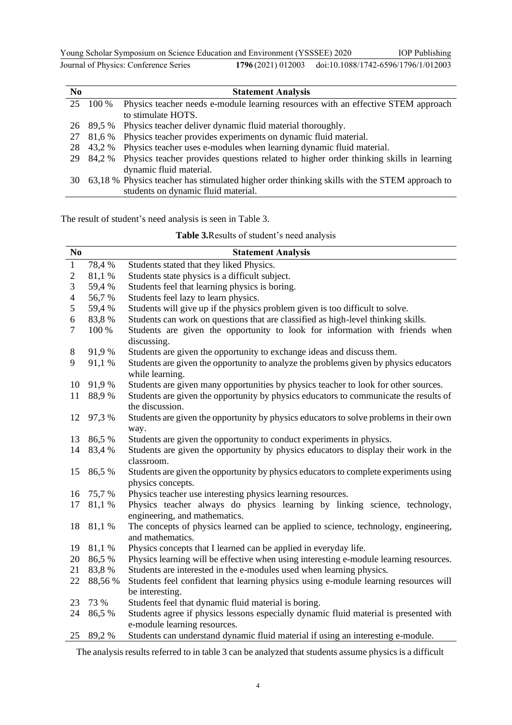Young Scholar Symposium on Science Education and Environment (YSSSEE) 2020 **Journal of Physics: Conference Series** IOP Publishing 1796(2021) 012003 doi:10.1088/1742-6596/1796/1/012003

| N <sub>0</sub> |           | <b>Statement Analysis</b>                                                                     |
|----------------|-----------|-----------------------------------------------------------------------------------------------|
| 25             | 100 %     | Physics teacher needs e-module learning resources with an effective STEM approach             |
|                |           | to stimulate HOTS.                                                                            |
|                | 26 89.5 % | Physics teacher deliver dynamic fluid material thoroughly.                                    |
| 27             | 81,6 %    | Physics teacher provides experiments on dynamic fluid material.                               |
| 28             | 43,2 %    | Physics teacher uses e-modules when learning dynamic fluid material.                          |
| 29             | 84,2 %    | Physics teacher provides questions related to higher order thinking skills in learning        |
|                |           | dynamic fluid material.                                                                       |
| 30             |           | 63,18 % Physics teacher has stimulated higher order thinking skills with the STEM approach to |
|                |           | students on dynamic fluid material.                                                           |

The result of student's need analysis is seen in Table 3.

|  | <b>Table 3. Results of student's need analysis</b> |  |
|--|----------------------------------------------------|--|
|--|----------------------------------------------------|--|

| N <sub>0</sub> |           | <b>Statement Analysis</b>                                                              |
|----------------|-----------|----------------------------------------------------------------------------------------|
| $\mathbf{1}$   | 78,4 %    | Students stated that they liked Physics.                                               |
| $\overline{c}$ | 81,1 %    | Students state physics is a difficult subject.                                         |
| 3              | 59,4 %    | Students feel that learning physics is boring.                                         |
| $\overline{4}$ | 56,7 %    | Students feel lazy to learn physics.                                                   |
| 5              | 59,4 %    | Students will give up if the physics problem given is too difficult to solve.          |
| 6              | 83,8%     | Students can work on questions that are classified as high-level thinking skills.      |
| $\overline{7}$ | 100 %     | Students are given the opportunity to look for information with friends when           |
|                |           | discussing.                                                                            |
| 8              | 91,9 %    | Students are given the opportunity to exchange ideas and discuss them.                 |
| 9              | 91,1 %    | Students are given the opportunity to analyze the problems given by physics educators  |
|                |           | while learning.                                                                        |
| 10             | 91,9 %    | Students are given many opportunities by physics teacher to look for other sources.    |
| 11             | 88,9%     | Students are given the opportunity by physics educators to communicate the results of  |
|                |           | the discussion.                                                                        |
| 12             | 97,3 %    | Students are given the opportunity by physics educators to solve problems in their own |
|                |           | way.                                                                                   |
| 13             | 86,5 %    | Students are given the opportunity to conduct experiments in physics.                  |
| 14             | 83,4 %    | Students are given the opportunity by physics educators to display their work in the   |
|                |           | classroom.                                                                             |
| 15             | 86,5 %    | Students are given the opportunity by physics educators to complete experiments using  |
|                |           | physics concepts.                                                                      |
| 16             | 75,7 %    | Physics teacher use interesting physics learning resources.                            |
| 17             | 81,1 %    | Physics teacher always do physics learning by linking science, technology,             |
|                |           | engineering, and mathematics.                                                          |
| 18             | 81,1 %    | The concepts of physics learned can be applied to science, technology, engineering,    |
|                |           | and mathematics.                                                                       |
| 19             | 81,1 %    | Physics concepts that I learned can be applied in everyday life.                       |
| 20             | 86,5 %    | Physics learning will be effective when using interesting e-module learning resources. |
| 21             | 83,8%     | Students are interested in the e-modules used when learning physics.                   |
| 22             | 88,56 %   | Students feel confident that learning physics using e-module learning resources will   |
|                |           | be interesting.                                                                        |
| 23             | 73 %      | Students feel that dynamic fluid material is boring.                                   |
| 24             | 86,5 %    | Students agree if physics lessons especially dynamic fluid material is presented with  |
|                |           | e-module learning resources.                                                           |
|                | 25 89,2 % | Students can understand dynamic fluid material if using an interesting e-module.       |

The analysis results referred to in table 3 can be analyzed that students assume physics is a difficult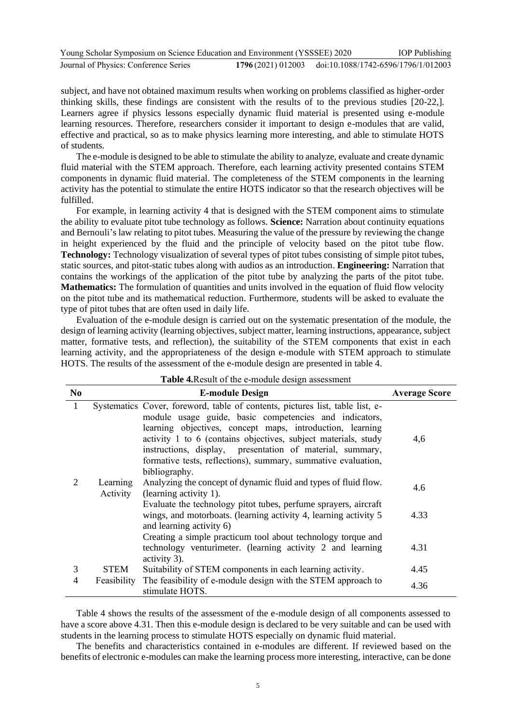| Young Scholar Symposium on Science Education and Environment (YSSSEE) 2020 |  | <b>IOP</b> Publishing                                  |
|----------------------------------------------------------------------------|--|--------------------------------------------------------|
| Journal of Physics: Conference Series                                      |  | 1796 (2021) 012003 doi:10.1088/1742-6596/1796/1/012003 |

subject, and have not obtained maximum results when working on problems classified as higher-order thinking skills, these findings are consistent with the results of to the previous studies [20-22,]. Learners agree if physics lessons especially dynamic fluid material is presented using e-module learning resources. Therefore, researchers consider it important to design e-modules that are valid, effective and practical, so as to make physics learning more interesting, and able to stimulate HOTS of students.

The e-module is designed to be able to stimulate the ability to analyze, evaluate and create dynamic fluid material with the STEM approach. Therefore, each learning activity presented contains STEM components in dynamic fluid material. The completeness of the STEM components in the learning activity has the potential to stimulate the entire HOTS indicator so that the research objectives will be fulfilled.

For example, in learning activity 4 that is designed with the STEM component aims to stimulate the ability to evaluate pitot tube technology as follows. **Science:** Narration about continuity equations and Bernouli's law relating to pitot tubes. Measuring the value of the pressure by reviewing the change in height experienced by the fluid and the principle of velocity based on the pitot tube flow. **Technology:** Technology visualization of several types of pitot tubes consisting of simple pitot tubes, static sources, and pitot-static tubes along with audios as an introduction. **Engineering:** Narration that contains the workings of the application of the pitot tube by analyzing the parts of the pitot tube. **Mathematics:** The formulation of quantities and units involved in the equation of fluid flow velocity on the pitot tube and its mathematical reduction. Furthermore, students will be asked to evaluate the type of pitot tubes that are often used in daily life.

Evaluation of the e-module design is carried out on the systematic presentation of the module, the design of learning activity (learning objectives, subject matter, learning instructions, appearance, subject matter, formative tests, and reflection), the suitability of the STEM components that exist in each learning activity, and the appropriateness of the design e-module with STEM approach to stimulate HOTS. The results of the assessment of the e-module design are presented in table 4.

| N <sub>0</sub> |                      | <b>Table +</b> <i>Mesult</i> of the e-module design assessment<br><b>E-module Design</b>                                                                                                                                                                                                                                                                                                                              | <b>Average Score</b> |
|----------------|----------------------|-----------------------------------------------------------------------------------------------------------------------------------------------------------------------------------------------------------------------------------------------------------------------------------------------------------------------------------------------------------------------------------------------------------------------|----------------------|
| $\mathbf{1}$   |                      | Systematics Cover, foreword, table of contents, pictures list, table list, e-<br>module usage guide, basic competencies and indicators,<br>learning objectives, concept maps, introduction, learning<br>activity 1 to 6 (contains objectives, subject materials, study<br>instructions, display, presentation of material, summary,<br>formative tests, reflections), summary, summative evaluation,<br>bibliography. | 4,6                  |
| $\overline{2}$ | Learning<br>Activity | Analyzing the concept of dynamic fluid and types of fluid flow.<br>(learning activity 1).                                                                                                                                                                                                                                                                                                                             | 4.6                  |
|                |                      | Evaluate the technology pitot tubes, perfume sprayers, aircraft<br>wings, and motorboats. (learning activity 4, learning activity 5<br>and learning activity 6)                                                                                                                                                                                                                                                       | 4.33                 |
|                |                      | Creating a simple practicum tool about technology torque and<br>technology venturimeter. (learning activity 2 and learning<br>activity 3).                                                                                                                                                                                                                                                                            | 4.31                 |
| 3              | STEM                 | Suitability of STEM components in each learning activity.                                                                                                                                                                                                                                                                                                                                                             | 4.45                 |
| 4              | Feasibility          | The feasibility of e-module design with the STEM approach to<br>stimulate HOTS.                                                                                                                                                                                                                                                                                                                                       | 4.36                 |

**Table 4.**Result of the e-module design assessment

Table 4 shows the results of the assessment of the e-module design of all components assessed to have a score above 4.31. Then this e-module design is declared to be very suitable and can be used with students in the learning process to stimulate HOTS especially on dynamic fluid material.

The benefits and characteristics contained in e-modules are different. If reviewed based on the benefits of electronic e-modules can make the learning process more interesting, interactive, can be done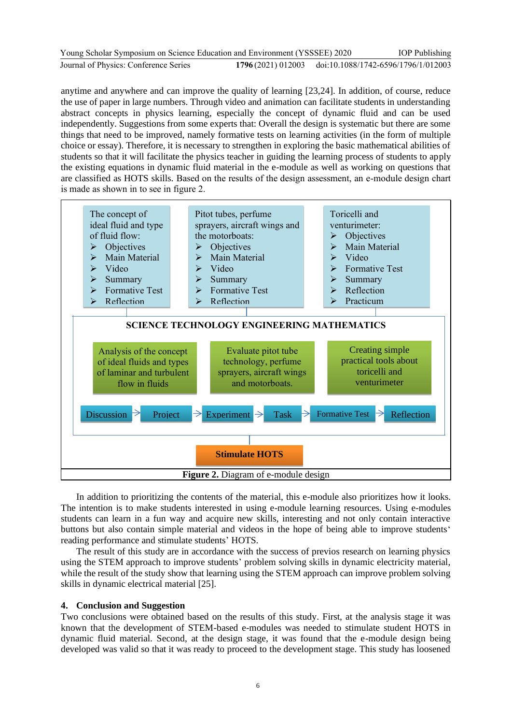| Young Scholar Symposium on Science Education and Environment (YSSSEE) 2020 |                                                       | <b>IOP</b> Publishing |
|----------------------------------------------------------------------------|-------------------------------------------------------|-----------------------|
| Journal of Physics: Conference Series                                      | 1796(2021) 012003 doi:10.1088/1742-6596/1796/1/012003 |                       |

anytime and anywhere and can improve the quality of learning [23,24]. In addition, of course, reduce the use of paper in large numbers. Through video and animation can facilitate students in understanding abstract concepts in physics learning, especially the concept of dynamic fluid and can be used independently. Suggestions from some experts that: Overall the design is systematic but there are some things that need to be improved, namely formative tests on learning activities (in the form of multiple choice or essay). Therefore, it is necessary to strengthen in exploring the basic mathematical abilities of students so that it will facilitate the physics teacher in guiding the learning process of students to apply the existing equations in dynamic fluid material in the e-module as well as working on questions that are classified as HOTS skills. Based on the results of the design assessment, an e-module design chart is made as shown in to see in figure 2.



In addition to prioritizing the contents of the material, this e-module also prioritizes how it looks. The intention is to make students interested in using e-module learning resources. Using e-modules students can learn in a fun way and acquire new skills, interesting and not only contain interactive buttons but also contain simple material and videos in the hope of being able to improve students' reading performance and stimulate students' HOTS.

The result of this study are in accordance with the success of previos research on learning physics using the STEM approach to improve students' problem solving skills in dynamic electricity material, while the result of the study show that learning using the STEM approach can improve problem solving skills in dynamic electrical material [25].

#### **4. Conclusion and Suggestion**

Two conclusions were obtained based on the results of this study. First, at the analysis stage it was known that the development of STEM-based e-modules was needed to stimulate student HOTS in dynamic fluid material. Second, at the design stage, it was found that the e-module design being developed was valid so that it was ready to proceed to the development stage. This study has loosened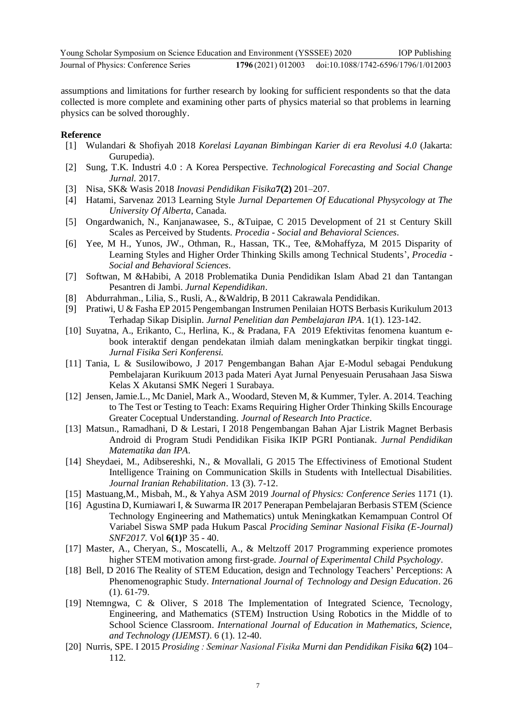assumptions and limitations for further research by looking for sufficient respondents so that the data collected is more complete and examining other parts of physics material so that problems in learning physics can be solved thoroughly.

## **Reference**

- [1] Wulandari & Shofiyah 2018 *Korelasi Layanan Bimbingan Karier di era Revolusi 4.0* (Jakarta: Gurupedia).
- [2] Sung, T.K. Industri 4.0 : A Korea Perspective. *Technological Forecasting and Social Change Jurnal.* 2017.
- [3] Nisa, SK& Wasis 2018 *Inovasi Pendidikan Fisika***7(2)** 201–207.
- [4] Hatami, Sarvenaz 2013 Learning Style *Jurnal Departemen Of Educational Physycology at The University Of Alberta*, Canada.
- [5] Ongardwanich, N., Kanjanawasee, S., &Tuipae, C 2015 Development of 21 st Century Skill Scales as Perceived by Students. *Procedia - Social and Behavioral Sciences*.
- [6] Yee, M H., Yunos, JW., Othman, R., Hassan, TK., Tee, &Mohaffyza, M 2015 Disparity of Learning Styles and Higher Order Thinking Skills among Technical Students', *Procedia - Social and Behavioral Sciences*.
- [7] Softwan, M &Habibi, A 2018 Problematika Dunia Pendidikan Islam Abad 21 dan Tantangan Pesantren di Jambi. *Jurnal Kependidikan*.
- [8] Abdurrahman., Lilia, S., Rusli, A., &Waldrip, B 2011 Cakrawala Pendidikan.
- [9] Pratiwi, U & Fasha EP 2015 Pengembangan Instrumen Penilaian HOTS Berbasis Kurikulum 2013 Terhadap Sikap Disiplin. *Jurnal Penelitian dan Pembelajaran IPA*. 1(1). 123-142.
- [10] Suyatna, A., Erikanto, C., Herlina, K., & Pradana, FA 2019 Efektivitas fenomena kuantum ebook interaktif dengan pendekatan ilmiah dalam meningkatkan berpikir tingkat tinggi. *Jurnal Fisika Seri Konferensi.*
- [11] Tania, L & Susilowibowo, J 2017 Pengembangan Bahan Ajar E-Modul sebagai Pendukung Pembelajaran Kurikuum 2013 pada Materi Ayat Jurnal Penyesuain Perusahaan Jasa Siswa Kelas X Akutansi SMK Negeri 1 Surabaya.
- [12] Jensen, Jamie.L., Mc Daniel, Mark A., Woodard, Steven M, & Kummer, Tyler. A. 2014. Teaching to The Test or Testing to Teach: Exams Requiring Higher Order Thinking Skills Encourage Greater Coceptual Understanding. *Journal of Research Into Practice*.
- [13] Matsun., Ramadhani, D & Lestari, I 2018 Pengembangan Bahan Ajar Listrik Magnet Berbasis Android di Program Studi Pendidikan Fisika IKIP PGRI Pontianak. *Jurnal Pendidikan Matematika dan IPA*.
- [14] Sheydaei, M., Adibsereshki, N., & Movallali, G 2015 The Effectiviness of Emotional Student Intelligence Training on Communication Skills in Students with Intellectual Disabilities. *Journal Iranian Rehabilitation*. 13 (3). 7-12.
- [15] Mastuang,M., Misbah, M., & Yahya ASM 2019 *Journal of Physics: Conference Series* 1171 (1).
- [16] Agustina D, Kurniawari I, & Suwarma IR 2017 Penerapan Pembelajaran Berbasis STEM (Science Technology Engineering and Mathematics) untuk Meningkatkan Kemampuan Control Of Variabel Siswa SMP pada Hukum Pascal *Prociding Seminar Nasional Fisika (E-Journal) SNF2017.* Vol **6(1)**P 35 - 40.
- [17] Master, A., Cheryan, S., Moscatelli, A., & Meltzoff 2017 Programming experience promotes higher STEM motivation among first-grade. *Journal of Experimental Child Psychology*.
- [18] Bell, D 2016 The Reality of STEM Education, design and Technology Teachers' Perceptions: A Phenomenographic Study. *International Journal of Technology and Design Education*. 26 (1). 61-79.
- [19] Ntemngwa, C & Oliver, S 2018 The Implementation of Integrated Science, Tecnology, Engineering, and Mathematics (STEM) Instruction Using Robotics in the Middle of to School Science Classroom. *International Journal of Education in Mathematics, Science, and Technology (IJEMST)*. 6 (1). 12-40.
- [20] Nurris, SPE. I 2015 *Prosiding : Seminar Nasional Fisika Murni dan Pendidikan Fisika* **6(2)** 104– 112.